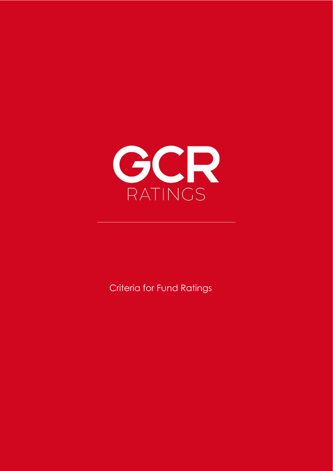

**Criteria for Fund Ratings**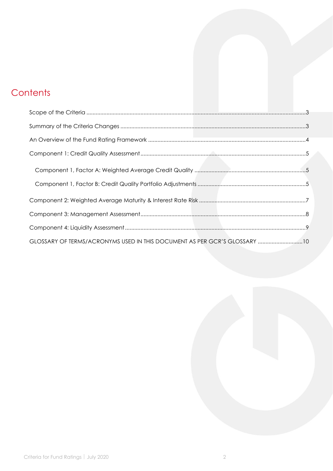# **Contents**

| GLOSSARY OF TERMS/ACRONYMS USED IN THIS DOCUMENT AS PER GCR'S GLOSSARY 10 |  |
|---------------------------------------------------------------------------|--|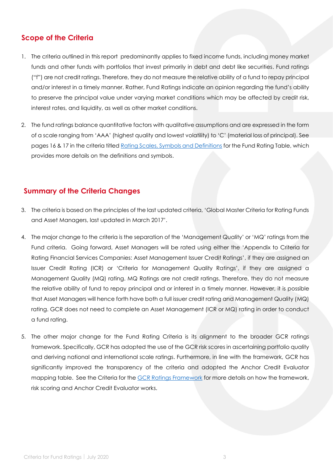### <span id="page-2-0"></span>**Scope of the Criteria**

- 1. The criteria outlined in this report predominantly applies to fixed income funds, including money market funds and other funds with portfolios that invest primarily in debt and debt like securities. Fund ratings ("f") are not credit ratings. Therefore, they do not measure the relative ability of a fund to repay principal and/or interest in a timely manner. Rather, Fund Ratings indicate an opinion regarding the fund's ability to preserve the principal value under varying market conditions which may be affected by credit risk, interest rates, and liquidity, as well as other market conditions.
- 2. The fund ratings balance quantitative factors with qualitative assumptions and are expressed in the form of a scale ranging from 'AAA' (highest quality and lowest volatility) to 'C' (material loss of principal). See pages 16 & 17 in the criteria titled [Rating Scales, Symbols and Definitions](https://gcrratings.com/wp-content/uploads/2019/05/GCR-Rating-Scales-Symbols-and-Definitions.pdf) for the Fund Rating Table, which provides more details on the definitions and symbols.

### <span id="page-2-1"></span>**Summary of the Criteria Changes**

- 3. The criteria is based on the principles of the last updated criteria, 'Global Master Criteria for Rating Funds and Asset Managers, last updated in March 2017'.
- 4. The major change to the criteria is the separation of the 'Management Quality' or 'MQ' ratings from the Fund criteria. Going forward, Asset Managers will be rated using either the 'Appendix to Criteria for Rating Financial Services Companies: Asset Management Issuer Credit Ratings', if they are assigned an Issuer Credit Rating (ICR) or 'Criteria for Management Quality Ratings', if they are assigned a Management Quality (MQ) rating. MQ Ratings are not credit ratings. Therefore, they do not measure the relative ability of fund to repay principal and or interest in a timely manner. However, it is possible that Asset Managers will hence forth have both a full issuer credit rating and Management Quality (MQ) rating. GCR does not need to complete an Asset Management (ICR or MQ) rating in order to conduct a fund rating.
- 5. The other major change for the Fund Rating Criteria is its alignment to the broader GCR ratings framework. Specifically, GCR has adopted the use of the GCR risk scores in ascertaining portfolio quality and deriving national and international scale ratings. Furthermore, in line with the framework, GCR has significantly improved the transparency of the criteria and adopted the Anchor Credit Evaluator mapping table. See the Criteria for the **GCR Ratings Framework** for more details on how the framework, risk scoring and Anchor Credit Evaluator works.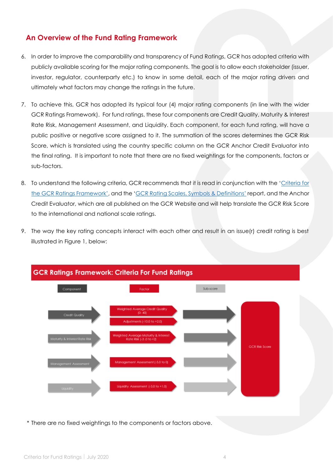#### <span id="page-3-0"></span>**An Overview of the Fund Rating Framework**

- 6. In order to improve the comparability and transparency of Fund Ratings, GCR has adopted criteria with publicly available scoring for the major rating components. The goal is to allow each stakeholder (issuer, investor, regulator, counterparty etc.) to know in some detail, each of the major rating drivers and ultimately what factors may change the ratings in the future.
- 7. To achieve this, GCR has adopted its typical four (4) major rating components (in line with the wider GCR Ratings Framework). For fund ratings, these four components are Credit Quality, Maturity & Interest Rate Risk, Management Assessment, and Liquidity. Each component, for each fund rating, will have a public positive or negative score assigned to it. The summation of the scores determines the GCR Risk Score, which is translated using the country specific column on the GCR Anchor Credit Evaluator into the final rating. It is important to note that there are no fixed weightings for the components, factors or sub-factors.
- 8. To understand the following criteria, GCR recommends that it is read in conjunction with the 'Criteria for the [GCR Ratings Framework'](https://gcrratings.com/wp-content/uploads/2019/05/GCR_Criteria-for-the-GCR-Ratings-Framework.pdf), and the '[GCR Rating Scales, Symbols & Definitions](https://gcrratings.com/wp-content/uploads/2019/05/GCR-Rating-Scales-Symbols-and-Definitions.pdf)' report, and the Anchor Credit Evaluator, which are all published on the GCR Website and will help translate the GCR Risk Score to the international and national scale ratings.
- 9. The way the key rating concepts interact with each other and result in an issue(r) credit rating is best illustrated in Figure 1, below:



#### **GCR Ratings Framework: Criteria For Fund Ratings**

\* There are no fixed weightings to the components or factors above.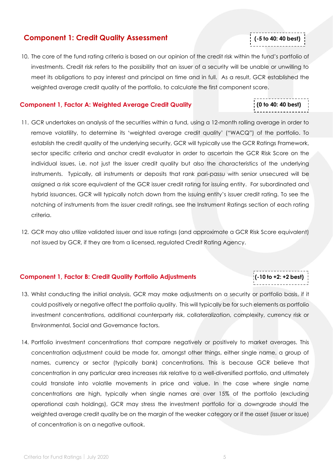#### <span id="page-4-0"></span>**Component 1: Credit Quality Assessment**

10. The core of the fund rating criteria is based on our opinion of the credit risk within the fund's portfolio of investments. Credit risk refers to the possibility that an issuer of a security will be unable or unwilling to meet its obligations to pay interest and principal on time and in full. As a result, GCR established the weighted average credit quality of the portfolio, to calculate the first component score.

#### <span id="page-4-1"></span>**Component 1, Factor A: Weighted Average Credit Quality**

- 11. GCR undertakes an analysis of the securities within a fund, using a 12-month rolling average in order to remove volatility, to determine its 'weighted average credit quality' ("WACQ") of the portfolio. To establish the credit quality of the underlying security, GCR will typically use the GCR Ratings Framework, sector specific criteria and anchor credit evaluator in order to ascertain the GCR Risk Score on the individual issues, i.e. not just the issuer credit quality but also the characteristics of the underlying instruments. Typically, all instruments or deposits that rank pari-passu with senior unsecured will be assigned a risk score equivalent of the GCR issuer credit rating for issuing entity. For subordinated and hybrid issuances, GCR will typically notch down from the issuing entity's issuer credit rating. To see the notching of instruments from the issuer credit ratings, see the Instrument Ratings section of each rating criteria.
- 12. GCR may also utilize validated issuer and issue ratings (and approximate a GCR Risk Score equivalent) not issued by GCR, if they are from a licensed, regulated Credit Rating Agency.

#### <span id="page-4-2"></span>**Component 1, Factor B: Credit Quality Portfolio Adjustments**

- 13. Whilst conducting the initial analysis, GCR may make adjustments on a security or portfolio basis, if it could positively or negative affect the portfolio quality. This will typically be for such elements as portfolio investment concentrations, additional counterparty risk, collateralization, complexity, currency risk or Environmental, Social and Governance factors.
- 14. Portfolio investment concentrations that compare negatively or positively to market averages. This concentration adjustment could be made for, amongst other things, either single name, a group of names, currency or sector (typically bank) concentrations. This is because GCR believe that concentration in any particular area increases risk relative to a well-diversified portfolio, and ultimately could translate into volatile movements in price and value. In the case where single name concentrations are high, typically when single names are over 15% of the portfolio (excluding operational cash holdings), GCR may stress the investment portfolio for a downgrade should the weighted average credit quality be on the margin of the weaker category or if the asset (issuer or issue) of concentration is on a negative outlook.

Cr **(0 to 40: 40 best)**

Cr( **(-10 to +2: +2 best)**

Cr( **(-5 to 40: 40 best)**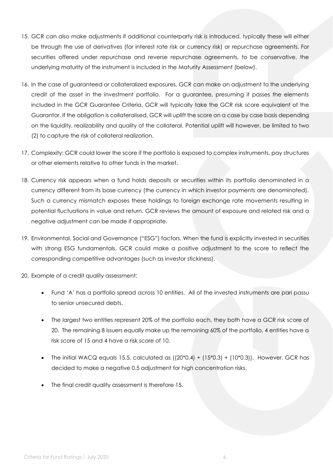- 15. GCR can also make adjustments if additional counterparty risk is introduced, typically these will either be through the use of derivatives (for interest rate risk or currency risk) or repurchase agreements. For securities offered under repurchase and reverse repurchase agreements, to be conservative, the underlying maturity of the instrument is included in the Maturity Assessment (below).
- 16. In the case of guaranteed or collateralized exposures, GCR can make an adjustment to the underlying credit of the asset in the investment portfolio. For a guarantee, presuming it passes the elements included in the GCR Guarantee Criteria, GCR will typically take the GCR risk score equivalent of the Guarantor. If the obligation is collateralised, GCR will uplift the score on a case by case basis depending on the liquidity, realizability and quality of the collateral. Potential uplift will however, be limited to two (2) to capture the risk of collateral realization.
- 17. Complexity: GCR could lower the score if the portfolio is exposed to complex instruments, pay structures or other elements relative to other funds in the market.
- 18. Currency risk appears when a fund holds deposits or securities within its portfolio denominated in a currency different from its base currency (the currency in which investor payments are denominated). Such a currency mismatch exposes these holdings to foreign exchange rate movements resulting in potential fluctuations in value and return. GCR reviews the amount of exposure and related risk and a negative adjustment can be made if appropriate.
- 19. Environmental, Social and Governance ("ESG") factors. When the fund is explicitly invested in securities with strong ESG fundamentals, GCR could make a positive adjustment to the score to reflect the corresponding competitive advantages (such as investor stickiness).
- 20. Example of a credit quality assessment:
	- Fund 'A' has a portfolio spread across 10 entities. All of the invested instruments are pari passu to senior unsecured debts.
	- The largest two entities represent 20% of the portfolio each, they both have a GCR risk score of 20. The remaining 8 issuers equally make up the remaining 60% of the portfolio, 4 entities have a risk score of 15 and 4 have a risk score of 10.
	- The initial WACQ equals 15.5, calculated as  $((20*0.4) + (15*0.3) + (10*0.3))$ . However, GCR has decided to make a negative 0.5 adjustment for high concentration risks.
	- The final credit quality assessment is therefore 15.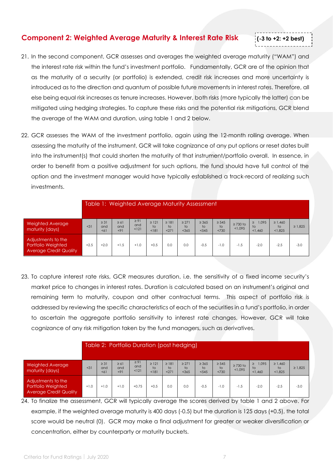#### <span id="page-6-0"></span>**Component 2: Weighted Average Maturity & Interest Rate Risk**

# 21. In the second component, GCR assesses and averages the weighted average maturity ("WAM") and the interest rate risk within the fund's investment portfolio. Fundamentally, GCR are of the opinion that as the maturity of a security (or portfolio) is extended, credit risk increases and more uncertainty is introduced as to the direction and quantum of possible future movements in interest rates. Therefore, all else being equal risk increases as tenure increases. However, both risks (more typically the latter) can be mitigated using hedging strategies. To capture these risks and the potential risk mitigations, GCR blend the average of the WAM and duration, using table 1 and 2 below.

Cr**( (-3 to +2: +2 best)**

22. GCR assesses the WAM of the investment portfolio, again using the 12-month rolling average. When assessing the maturity of the instrument, GCR will take cognizance of any put options or reset dates built into the instrument(s) that could shorten the maturity of that instrument/portfolio overall. In essence, in order to benefit from a positive adjustment for such options, the fund should have full control of the option and the investment manager would have typically established a track-record of realizing such investments.

|                                                                           |        |                         | Table 1: Weighted Average Maturity Assessment |                           |                           |                           |                             |                           |                          |                          |                                  |                                           |              |
|---------------------------------------------------------------------------|--------|-------------------------|-----------------------------------------------|---------------------------|---------------------------|---------------------------|-----------------------------|---------------------------|--------------------------|--------------------------|----------------------------------|-------------------------------------------|--------------|
| <b>Weighted Average</b><br>maturity (days)                                | < 31   | $\geq$ 31<br>and<br>551 | $\geq 61$<br>and<br>< 91                      | $\geq 91$<br>and<br>< 121 | $\geq$ 121<br>to<br>< 181 | $\geq$ 181<br>to<br>< 271 | $\geq$ 271<br>to<br>$<$ 365 | $\geq$ 365<br>to<br>< 545 | $\geq 545$<br>to<br><730 | $\geq$ 730 to<br>< 1.095 | 1,095<br>$\geq$<br>to<br>< 1.460 | $\geq 1,460$<br>$\overline{1}$<br>< 1.825 | $\geq 1.825$ |
| Adjustments to the<br>Portfolio Weighted<br><b>Average Credit Quality</b> | $+2.5$ | $+2.0$                  | $+1.5$                                        | $+1.0$                    | $+0.5$                    | 0.0                       | 0.0                         | $-0.5$                    | $-1.0$                   | $-1.5$                   | $-2.0$                           | $-2.5$                                    | $-3.0$       |

23. To capture interest rate risks, GCR measures duration, i.e. the sensitivity of a fixed income security's market price to changes in interest rates. Duration is calculated based on an instrument's original and remaining term to maturity, coupon and other contractual terms. This aspect of portfolio risk is addressed by reviewing the specific characteristics of each of the securities in a fund's portfolio, in order to ascertain the aggregate portfolio sensitivity to interest rate changes. However, GCR will take cognizance of any risk mitigation taken by the fund managers, such as derivatives.

|                                                                           |        | Table 2: Portfolio Duration (post hedging) |                          |                           |                                       |                           |                           |                            |                          |                          |                                  |                                          |              |
|---------------------------------------------------------------------------|--------|--------------------------------------------|--------------------------|---------------------------|---------------------------------------|---------------------------|---------------------------|----------------------------|--------------------------|--------------------------|----------------------------------|------------------------------------------|--------------|
| <b>Weighted Average</b><br>maturity (days)                                | < 31   | $\geq$ 31<br>and<br>551                    | $\geq 61$<br>and<br>< 91 | $\geq 91$<br>and<br>< 121 | $\geq$ 121<br>$\overline{1}$<br>< 181 | $\geq$ 181<br>to<br>< 271 | $\geq$ 271<br>to<br>< 365 | $\geq$ 365<br>to.<br>< 545 | $\geq 545$<br>to<br><730 | $\geq$ 730 to<br>< 1.095 | 1,095<br>$\geq$<br>to<br>< 1.460 | $\geq 1,460$<br>$\mathsf{to}$<br>< 1.825 | $\geq 1.825$ |
| Adjustments to the<br>Portfolio Weighted<br><b>Average Credit Quality</b> | $+1.0$ | $+1.0$                                     | $+1.0$                   | $+0.75$                   | $+0.5$                                | 0.0                       | 0.0                       | $-0.5$                     | $-1.0$                   | $-1.5$                   | $-2.0$                           | $-2.5$                                   | $-3.0$       |

24. To finalize the assessment, GCR will typically average the scores derived by table 1 and 2 above. For example, if the weighted average maturity is 400 days (-0.5) but the duration is 125 days (+0.5), the total score would be neutral (0). GCR may make a final adjustment for greater or weaker diversification or concentration, either by counterparty or maturity buckets.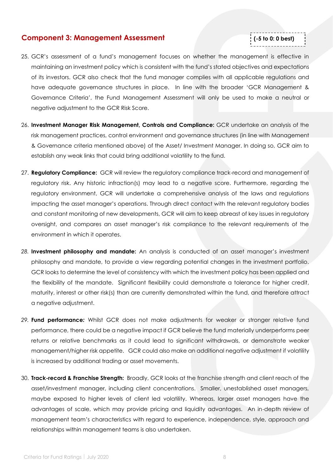#### <span id="page-7-0"></span>**Component 3: Management Assessment**

## 25. GCR's assessment of a fund's management focuses on whether the management is effective in maintaining an investment policy which is consistent with the fund's stated objectives and expectations of its investors. GCR also check that the fund manager complies with all applicable regulations and have adequate governance structures in place. In line with the broader 'GCR Management & Governance Criteria', the Fund Management Assessment will only be used to make a neutral or negative adjustment to the GCR Risk Score.

Cr( **(-5 to 0: 0 best)**

- 26. **Investment Manager Risk Management, Controls and Compliance:** GCR undertake an analysis of the risk management practices, control environment and governance structures (in line with Management & Governance criteria mentioned above) of the Asset/ Investment Manager. In doing so, GCR aim to establish any weak links that could bring additional volatility to the fund.
- 27. **Regulatory Compliance:** GCR will review the regulatory compliance track-record and management of regulatory risk. Any historic infraction(s) may lead to a negative score. Furthermore, regarding the regulatory environment, GCR will undertake a comprehensive analysis of the laws and regulations impacting the asset manager's operations. Through direct contact with the relevant regulatory bodies and constant monitoring of new developments, GCR will aim to keep abreast of key issues in regulatory oversight, and compares an asset manager's risk compliance to the relevant requirements of the environment in which it operates.
- *28.* **Investment philosophy and mandate:** An analysis is conducted of an asset manager's investment philosophy and mandate, to provide a view regarding potential changes in the investment portfolio. GCR looks to determine the level of consistency with which the investment policy has been applied and the flexibility of the mandate. Significant flexibility could demonstrate a tolerance for higher credit, maturity, interest or other risk(s) than are currently demonstrated within the fund, and therefore attract a negative adjustment.
- *29.* **Fund performance***:* Whilst GCR does not make adjustments for weaker or stronger relative fund performance, there could be a negative impact if GCR believe the fund materially underperforms peer returns or relative benchmarks as it could lead to significant withdrawals, or demonstrate weaker management/higher risk appetite. GCR could also make an additional negative adjustment if volatility is increased by additional trading or asset movements.
- 30. **Track-record & Franchise Strength:** Broadly, GCR looks at the franchise strength and client reach of the asset/investment manager, including client concentrations. Smaller, unestablished asset managers, maybe exposed to higher levels of client led volatility. Whereas, larger asset managers have the advantages of scale, which may provide pricing and liquidity advantages. An in-depth review of management team's characteristics with regard to experience, independence, style, approach and relationships within management teams is also undertaken.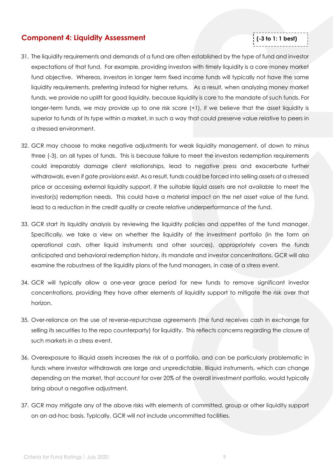#### <span id="page-8-0"></span>**Component 4: Liquidity Assessment**

# 31. The liquidity requirements and demands of a fund are often established by the type of fund and investor expectations of that fund. For example, providing investors with timely liquidity is a core money market fund objective. Whereas, investors in longer term fixed income funds will typically not have the same liquidity requirements, preferring instead for higher returns. As a result, when analyzing money market funds, we provide no uplift for good liquidity, because liquidity is core to the mandate of such funds. For longer-term funds, we may provide up to one risk score (+1), if we believe that the asset liquidity is superior to funds of its type within a market, in such a way that could preserve value relative to peers in a stressed environment.

Cr( **(-3 to 1: 1 best)**

- 32. GCR may choose to make negative adjustments for weak liquidity management, of down to minus three (-3), on all types of funds. This is because failure to meet the investors redemption requirements could irreparably damage client relationships, lead to negative press and exacerbate further withdrawals, even if gate provisions exist. As a result, funds could be forced into selling assets at a stressed price or accessing external liquidity support, if the suitable liquid assets are not available to meet the investor(s) redemption needs. This could have a material impact on the net asset value of the fund, lead to a reduction in the credit quality or create relative underperformance of the fund.
- 33. GCR start its liquidity analysis by reviewing the liquidity policies and appetites of the fund manager. Specifically, we take a view on whether the liquidity of the investment portfolio (in the form on operational cash, other liquid instruments and other sources), appropriately covers the funds anticipated and behavioral redemption history, its mandate and investor concentrations. GCR will also examine the robustness of the liquidity plans of the fund managers, in case of a stress event.
- 34. GCR will typically allow a one-year grace period for new funds to remove significant investor concentrations, providing they have other elements of liquidity support to mitigate the risk over that horizon.
- 35. Over-reliance on the use of reverse-repurchase agreements (the fund receives cash in exchange for selling its securities to the repo counterparty) for liquidity. This reflects concerns regarding the closure of such markets in a stress event.
- 36. Overexposure to illiquid assets increases the risk of a portfolio, and can be particularly problematic in funds where investor withdrawals are large and unpredictable. Illiquid instruments, which can change depending on the market, that account for over 20% of the overall investment portfolio, would typically bring about a negative adjustment.
- 37. GCR may mitigate any of the above risks with elements of committed, group or other liquidity support on an ad-hoc basis. Typically, GCR will not include uncommitted facilities.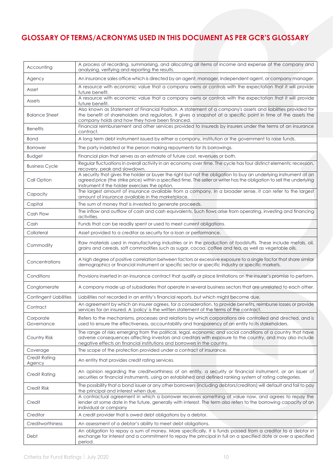# <span id="page-9-0"></span>**GLOSSARY OF TERMS/ACRONYMS USED IN THIS DOCUMENT AS PER GCR'S GLOSSARY**

| Accounting                     | A process of recording, summarising, and allocating all items of income and expense of the company and<br>analysing, verifying and reporting the results.                                                                                                                                             |
|--------------------------------|-------------------------------------------------------------------------------------------------------------------------------------------------------------------------------------------------------------------------------------------------------------------------------------------------------|
| Agency                         | An insurance sales office which is directed by an agent, manager, independent agent, or company manager.                                                                                                                                                                                              |
| Asset                          | A resource with economic value that a company owns or controls with the expectation that it will provide<br>future benefit.                                                                                                                                                                           |
| Assets                         | A resource with economic value that a company owns or controls with the expectation that it will provide<br>future benefit.                                                                                                                                                                           |
| <b>Balance Sheet</b>           | Also known as Statement of Financial Position. A statement of a company's assets and liabilities provided for<br>the benefit of shareholders and regulators. It gives a snapshot at a specific point in time of the assets the<br>company holds and how they have been financed.                      |
| <b>Benefits</b>                | Financial reimbursement and other services provided to insureds by insurers under the terms of an insurance<br>contract.                                                                                                                                                                              |
| <b>Bond</b>                    | A long term debt instrument issued by either a company, institution or the government to raise funds.                                                                                                                                                                                                 |
| <b>Borrower</b>                | The party indebted or the person making repayments for its borrowings.                                                                                                                                                                                                                                |
| <b>Budget</b>                  | Financial plan that serves as an estimate of future cost, revenues or both.                                                                                                                                                                                                                           |
| <b>Business Cycle</b>          | Regular fluctuations in overall activity in an economy over time. The cycle has four distinct elements: recession,<br>recovery, peak and slowdown.                                                                                                                                                    |
| Call Option                    | A security that gives the holder or buyer the right but not the obligation to buy an underlying instrument at an<br>agreed price (the strike price) within a specified time. The seller or writer has the obligation to sell the underlying<br>instrument if the holder exercises the option.         |
| Capacity                       | The largest amount of insurance available from a company. In a broader sense, it can refer to the largest<br>amount of insurance available in the marketplace.                                                                                                                                        |
| Capital                        | The sum of money that is invested to generate proceeds.                                                                                                                                                                                                                                               |
| Cash Flow                      | The inflow and outflow of cash and cash equivalents. Such flows arise from operating, investing and financing<br>activities.                                                                                                                                                                          |
| Cash                           | Funds that can be readily spent or used to meet current obligations.                                                                                                                                                                                                                                  |
| Collateral                     | Asset provided to a creditor as security for a loan or performance.                                                                                                                                                                                                                                   |
| Commodity                      | Raw materials used in manufacturing industries or in the production of foodstuffs. These include metals, oil,<br>grains and cereals, soft commodities such as sugar, cocoa, coffee and tea, as well as vegetable oils.                                                                                |
| Concentrations                 | A high degree of positive correlation between factors or excessive exposure to a single factor that share similar<br>demographics or financial instrument or specific sector or specific industry or specific markets.                                                                                |
| Conditions                     | Provisions inserted in an insurance contract that qualify or place limitations on the insurer's promise to perform.                                                                                                                                                                                   |
| Conglomerate                   | A company made up of subsidiaries that operate in several business sectors that are unrelated to each other.                                                                                                                                                                                          |
| <b>Contingent Liabilities</b>  | Liabilities not recorded in an entity's financial reports, but which might become due.                                                                                                                                                                                                                |
| Contract                       | An agreement by which an insurer agrees, for a consideration, to provide benefits, reimburse losses or provide<br>services for an insured. A 'policy' is the written statement of the terms of the contract.                                                                                          |
| Corporate<br>Governance        | Refers to the mechanisms, processes and relations by which corporations are controlled and directed, and is<br>used to ensure the effectiveness, accountability and transparency of an entity to its stakeholders.                                                                                    |
| Country Risk                   | The range of risks emerging from the political, legal, economic and social conditions of a country that have<br>adverse consequences affecting investors and creditors with exposure to the country, and may also include<br>negative effects on financial institutions and borrowers in the country. |
| Coverage                       | The scope of the protection provided under a contract of insurance.                                                                                                                                                                                                                                   |
| <b>Credit Rating</b><br>Agency | An entity that provides credit rating services.                                                                                                                                                                                                                                                       |
| <b>Credit Rating</b>           | An opinion regarding the creditworthiness of an entity, a security or financial instrument, or an issuer of<br>securities or financial instruments, using an established and defined ranking system of rating categories.                                                                             |
| <b>Credit Risk</b>             | The possibility that a bond issuer or any other borrowers (including debtors/creditors) will default and fail to pay<br>the principal and interest when due.                                                                                                                                          |
| Credit                         | A contractual agreement in which a borrower receives something of value now, and agrees to repay the<br>lender at some date in the future, generally with interest. The term also refers to the borrowing capacity of an<br>individual or company                                                     |
| Creditor                       | A credit provider that is owed debt obligations by a debtor.                                                                                                                                                                                                                                          |
| Creditworthiness               | An assessment of a debtor's ability to meet debt obligations.                                                                                                                                                                                                                                         |
| Debt                           | An obligation to repay a sum of money. More specifically, it is funds passed from a creditor to a debtor in<br>exchange for interest and a commitment to repay the principal in full on a specified date or over a specified<br>period.                                                               |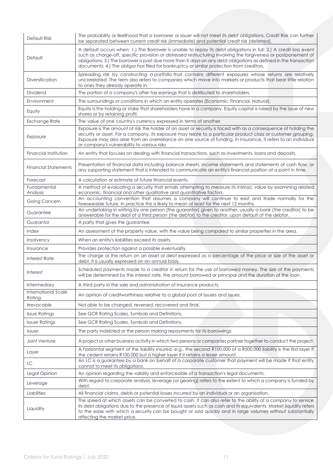| Default Risk                   | The probability or likelihood that a borrower or issuer will not meet its debt obligations. Credit Risk can further<br>be separated between current credit risk (immediate) and potential credit risk (deferred)                                                                                                                                                                                                                                     |
|--------------------------------|------------------------------------------------------------------------------------------------------------------------------------------------------------------------------------------------------------------------------------------------------------------------------------------------------------------------------------------------------------------------------------------------------------------------------------------------------|
| Default                        | A default occurs when: 1.) The Borrower is unable to repay its debt obligations in full; 2.) A credit-loss event<br>such as charge-off, specific provision or distressed restructuring involving the forgiveness or postponement of<br>obligations; 3.) The borrower is past due more than X days on any debt obligations as defined in the transaction<br>documents; 4.) The obligor has filed for bankruptcy or similar protection from creditors. |
| <b>Diversification</b>         | Spreading risk by constructing a portfolio that contains different exposures whose returns are relatively<br>uncorrelated. The term also refers to companies which move into markets or products that bear little relation<br>to ones they already operate in.                                                                                                                                                                                       |
| Dividend                       | The portion of a company's after-tax earnings that is distributed to shareholders.                                                                                                                                                                                                                                                                                                                                                                   |
| Environment                    | The surroundings or conditions in which an entity operates (Economic, Financial, Natural).                                                                                                                                                                                                                                                                                                                                                           |
| Equity                         | Equity is the holding or stake that shareholders have in a company. Equity capital is raised by the issue of new<br>shares or by retaining profit.                                                                                                                                                                                                                                                                                                   |
| Exchange Rate                  | The value of one country's currency expressed in terms of another.                                                                                                                                                                                                                                                                                                                                                                                   |
| Exposure                       | Exposure is the amount of risk the holder of an asset or security is faced with as a consequence of holding the<br>security or asset. For a company, its exposure may relate to a particular product class or customer grouping.<br>Exposure may also arise from an overreliance on one source of funding. In insurance, it refers to an individual<br>or company's vulnerability to various risks                                                   |
| Financial Institution          | An entity that focuses on dealing with financial transactions, such as investments, loans and deposits.                                                                                                                                                                                                                                                                                                                                              |
| <b>Financial Statements</b>    | Presentation of financial data including balance sheets, income statements and statements of cash flow, or<br>any supporting statement that is intended to communicate an entity's financial position at a point in time.                                                                                                                                                                                                                            |
| Forecast                       | A calculation or estimate of future financial events.                                                                                                                                                                                                                                                                                                                                                                                                |
| Fundamental<br>Analysis        | A method of evaluating a security that entails attempting to measure its intrinsic value by examining related<br>economic, financial and other qualitative and quantitative factors.                                                                                                                                                                                                                                                                 |
| Going Concern                  | An accounting convention that assumes a company will continue to exist and trade normally for the<br>foreseeable future. In practice this is likely to mean at least for the next 12 months.                                                                                                                                                                                                                                                         |
| Guarantee                      | An undertaking in writing by one person (the guarantor) given to another, usually a bank (the creditor) to be<br>answerable for the debt of a third person (the debtor) to the creditor, upon default of the debtor.                                                                                                                                                                                                                                 |
| Guarantor                      | A party that gives the guarantee.                                                                                                                                                                                                                                                                                                                                                                                                                    |
| Index                          | An assessment of the property value, with the value being compared to similar properties in the area.                                                                                                                                                                                                                                                                                                                                                |
| <b>Insolvency</b>              | When an entity's liabilities exceed its assets.                                                                                                                                                                                                                                                                                                                                                                                                      |
| Insurance                      | Provides protection against a possible eventuality.                                                                                                                                                                                                                                                                                                                                                                                                  |
| Interest Rate                  | The charge or the return on an asset or debt expressed as a percentage of the price or size of the asset or<br>debt. It is usually expressed on an annual basis.                                                                                                                                                                                                                                                                                     |
| Interest                       | Scheduled payments made to a creditor in return for the use of borrowed money. The size of the payments<br>will be determined by the interest rate, the amount borrowed or principal and the duration of the loan.                                                                                                                                                                                                                                   |
| Intermediary                   | A third party in the sale and administration of insurance products.                                                                                                                                                                                                                                                                                                                                                                                  |
| International Scale<br>Ratina. | An opinion of creditworthiness relative to a global pool of issuers and issues.                                                                                                                                                                                                                                                                                                                                                                      |
| Irrevocable                    | Not able to be changed, reversed, recovered and final.                                                                                                                                                                                                                                                                                                                                                                                               |
| <b>Issue Ratings</b>           | See GCR Rating Scales, Symbols and Definitions.                                                                                                                                                                                                                                                                                                                                                                                                      |
| <b>Issuer Ratings</b>          | See GCR Rating Scales, Symbols and Definitions.                                                                                                                                                                                                                                                                                                                                                                                                      |
| <b>Issuer</b>                  | The party indebted or the person making repayments for its borrowings.                                                                                                                                                                                                                                                                                                                                                                               |
| Joint Venture                  | A project or other business activity in which two persons or companies partner together to conduct the project.                                                                                                                                                                                                                                                                                                                                      |
| Layer                          | A horizontal segment of the liability insured, e.g., the second R100,000 of a R500,000 liability is the first layer if<br>the cedent retains R100,000 but a higher layer if it retains a lesser amount.                                                                                                                                                                                                                                              |
| LC                             | An LC is a guarantee by a bank on behalf of a corporate customer that payment will be made if that entity<br>cannot to meet its obligations.                                                                                                                                                                                                                                                                                                         |
| Legal Opinion                  | An opinion regarding the validity and enforceable of a transaction's legal documents.                                                                                                                                                                                                                                                                                                                                                                |
| Leverage                       | With regard to corporate analysis, leverage (or gearing) refers to the extent to which a company is funded by<br>debt.                                                                                                                                                                                                                                                                                                                               |
| Liabilities                    | All financial claims, debts or potential losses incurred by an individual or an organisation.                                                                                                                                                                                                                                                                                                                                                        |
| Liquidity                      | The speed at which assets can be converted to cash. It can also refer to the ability of a company to service<br>its debt obligations due to the presence of liquid assets such as cash and its equivalents. Market liquidity refers<br>to the ease with which a security can be bought or sold quickly and in large volumes without substantially<br>affecting the market price.                                                                     |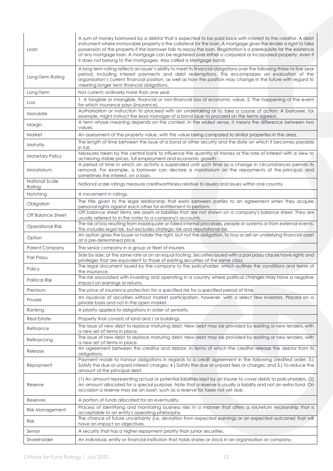| Loan                     | A sum of money borrowed by a debtor that is expected to be paid back with interest to the creditor. A debt<br>instrument where immovable property is the collateral for the loan. A mortgage gives the lender a right to take<br>possession of the property if the borrower fails to repay the loan. Registration is a prerequisite for the existence<br>of any mortgage loan. A mortgage can be registered over either a corporeal or incorporeal property, even if<br>it does not belong to the mortgagee. Also called a Mortgage bond. |
|--------------------------|-------------------------------------------------------------------------------------------------------------------------------------------------------------------------------------------------------------------------------------------------------------------------------------------------------------------------------------------------------------------------------------------------------------------------------------------------------------------------------------------------------------------------------------------|
| Long-Term Rating         | A long term rating reflects an issuer's ability to meet its financial obligations over the following three to five year<br>period, including interest payments and debt redemptions. This encompasses an evaluation of the<br>organisation's current financial position, as well as how the position may change in the future with regard to<br>meeting longer term financial obligations.                                                                                                                                                |
| Long-Term                | Not current; ordinarily more than one year.                                                                                                                                                                                                                                                                                                                                                                                                                                                                                               |
| Loss                     | 1. A tangible or intangible, financial or non-financial loss of economic value. 2. The happening of the event<br>for which insurance pays (insurance).                                                                                                                                                                                                                                                                                                                                                                                    |
| Mandate                  | Authorisation or instruction to proceed with an undertaking or to take a course of action. A borrower, for<br>example, might instruct the lead manager of a bond issue to proceed on the terms agreed.                                                                                                                                                                                                                                                                                                                                    |
| Margin                   | A term whose meaning depends on the context. In the widest sense, it means the difference between two<br>values.                                                                                                                                                                                                                                                                                                                                                                                                                          |
| Market                   | An assessment of the property value, with the value being compared to similar properties in the area.                                                                                                                                                                                                                                                                                                                                                                                                                                     |
| Maturity                 | The length of time between the issue of a bond or other security and the date on which it becomes payable<br>in full.                                                                                                                                                                                                                                                                                                                                                                                                                     |
| Monetary Policy          | Measures taken by the central bank to influence the quantity of money or the rate of interest with a view to<br>achieving stable prices, full employment and economic growth.                                                                                                                                                                                                                                                                                                                                                             |
| Moratorium               | A period of time in which an activity is suspended until such time as a change in circumstances permits its<br>removal. For example, a borrower can declare a moratorium on the repayments of the principal, and<br>sometimes the interest, on a loan.                                                                                                                                                                                                                                                                                    |
| National Scale<br>Rating | National scale ratings measure creditworthiness relative to issuers and issues within one country.                                                                                                                                                                                                                                                                                                                                                                                                                                        |
| Notching                 | A movement in ratings.                                                                                                                                                                                                                                                                                                                                                                                                                                                                                                                    |
| Obligation               | The title given to the legal relationship that exists between parties to an agreement when they acquire<br>personal rights against each other for entitlement to perform.                                                                                                                                                                                                                                                                                                                                                                 |
| Off Balance Sheet        | Off balance sheet items are assets or liabilities that are not shown on a company's balance sheet. They are<br>usually referred to in the notes to a company's accounts.                                                                                                                                                                                                                                                                                                                                                                  |
| <b>Operational Risk</b>  | The risk of loss resulting from inadequate or failed internal processes, people or systems or from external events.<br>This includes legal risk, but excludes strategic risk and reputational risk.                                                                                                                                                                                                                                                                                                                                       |
| Option                   | An option gives the buyer or holder the right, but not the obligation, to buy or sell an underlying financial asset<br>at a pre-determined price.                                                                                                                                                                                                                                                                                                                                                                                         |
| <b>Parent Company</b>    | The senior company in a group or fleet of insurers.                                                                                                                                                                                                                                                                                                                                                                                                                                                                                       |
| Pari Passu               | Side by side; at the same rate or on an equal footing. Securities issued with a pari passu clause have rights and<br>privileges that are equivalent to those of existing securities of the same class.                                                                                                                                                                                                                                                                                                                                    |
| Policy                   | The legal document issued by the company to the policyholder, which outlines the conditions and terms of<br>the insurance.                                                                                                                                                                                                                                                                                                                                                                                                                |
| <b>Political Risk</b>    | The risk associated with investing and operating in a country where political changes may have a negative<br>impact on earnings or returns.                                                                                                                                                                                                                                                                                                                                                                                               |
| Premium                  | The price of insurance protection for a specified risk for a specified period of time.                                                                                                                                                                                                                                                                                                                                                                                                                                                    |
| Private                  | An issuance of securities without market participation, however, with a select few investors. Placed on a<br>private basis and not in the open market.                                                                                                                                                                                                                                                                                                                                                                                    |
| Ranking                  | A priority applied to obligations in order of seniority.                                                                                                                                                                                                                                                                                                                                                                                                                                                                                  |
| <b>Real Estate</b>       | Property that consists of land and / or buildings.                                                                                                                                                                                                                                                                                                                                                                                                                                                                                        |
| Refinance                | The issue of new debt to replace maturing debt. New debt may be provided by existing or new lenders, with<br>a new set of terms in place.                                                                                                                                                                                                                                                                                                                                                                                                 |
| Refinancing              | The issue of new debt to replace maturing debt. New debt may be provided by existing or new lenders, with<br>a new set of terms in place.                                                                                                                                                                                                                                                                                                                                                                                                 |
| Release                  | An agreement between the creditor and debtor, in terms of which the creditor release the debtor from its<br>obligations.                                                                                                                                                                                                                                                                                                                                                                                                                  |
| Repayment                | Payment made to honour obligations in regards to a credit agreement in the following credited order: 3.)<br>Satisfy the due or unpaid interest charges; 4.) Satisfy the due or unpaid fees or charges; and 5.) To reduce the<br>amount of the principal debt.                                                                                                                                                                                                                                                                             |
| Reserve                  | (1) An amount representing actual or potential liabilities kept by an insurer to cover debts to policyholders. (2)<br>An amount allocated for a special purpose. Note that a reserve is usually a liability and not an extra fund. On<br>occasion a reserve may be an asset, such as a reserve for taxes not yet due.                                                                                                                                                                                                                     |
| Reserves                 | A portion of funds allocated for an eventuality.                                                                                                                                                                                                                                                                                                                                                                                                                                                                                          |
| Risk Management          | Process of identifying and monitoring business risks in a manner that offers a risk/return relationship that is<br>acceptable to an entity's operating philosophy.                                                                                                                                                                                                                                                                                                                                                                        |
| <b>Risk</b>              | The chance of future uncertainty (i.e. deviation from expected earnings or an expected outcome) that will<br>have an impact on objectives.                                                                                                                                                                                                                                                                                                                                                                                                |
| Senior                   | A security that has a higher repayment priority than junior securities.                                                                                                                                                                                                                                                                                                                                                                                                                                                                   |
| Shareholder              | An individual, entity or financial institution that holds shares or stock in an organisation or company.                                                                                                                                                                                                                                                                                                                                                                                                                                  |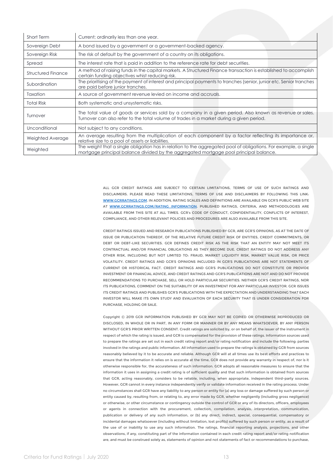| Short Term                | Current; ordinarily less than one year.                                                                                                                                                                   |
|---------------------------|-----------------------------------------------------------------------------------------------------------------------------------------------------------------------------------------------------------|
| Sovereign Debt            | A bond issued by a government or a government-backed agency.                                                                                                                                              |
| Sovereign Risk            | The risk of default by the government of a country on its obligations.                                                                                                                                    |
| Spread                    | The interest rate that is paid in addition to the reference rate for debt securities.                                                                                                                     |
| <b>Structured Finance</b> | A method of raising funds in the capital markets. A Structured Finance transaction is established to accomplish<br>certain funding objectives whist reducing risk.                                        |
| Subordination             | The prioritising of the payment of interest and principal payments to tranches (senior, junior etc. Senior tranches<br>are paid before junior tranches.                                                   |
| Taxation                  | A source of government revenue levied on income and accruals.                                                                                                                                             |
| <b>Total Risk</b>         | Both systematic and unsystematic risks.                                                                                                                                                                   |
| Turnover                  | The total value of goods or services sold by a company in a given period. Also known as revenue or sales.<br>Turnover can also refer to the total volume of trades in a market during a given period.     |
| Unconditional             | Not subject to any conditions.                                                                                                                                                                            |
| Weighted Average          | An average resulting from the multiplication of each component by a factor reflecting its importance or,<br>relative size to a pool of assets or liabilities.                                             |
| Weighted                  | The weight that a single obligation has in relation to the aggregated pool of obligations. For example, a single<br>mortgage principal balance divided by the aggregated mortgage pool principal balance. |

ALL GCR CREDIT RATINGS ARE SUBJECT TO CERTAIN LIMITATIONS, TERMS OF USE OF SUCH RATINGS AND DISCLAIMERS. PLEASE READ THESE LIMITATIONS, TERMS OF USE AND DISCLAIMERS BY FOLLOWING THIS LINK: [WWW.GCRRATINGS.COM](http://www.gcrratings.com/). IN ADDITION, RATING SCALES AND DEFINITIONS ARE AVAILABLE ON GCR'S PUBLIC WEB SITE AT [WWW.GCRRATINGS.COM/RATING\\_INFORMATION.](http://www.gcrratings.com/RATING_INFORMATION) PUBLISHED RATINGS, CRITERIA, AND METHODOLOGIES ARE AVAILABLE FROM THIS SITE AT ALL TIMES. GCR's CODE OF CONDUCT, CONFIDENTIALITY, CONFLICTS OF INTEREST, COMPLIANCE, AND OTHER RELEVANT POLICIES AND PROCEDURES ARE ALSO AVAILABLE FROM THIS SITE.

CREDIT RATINGS ISSUED AND RESEARCH PUBLICATIONS PUBLISHED BY GCR, ARE GCR'S OPINIONS, AS AT THE DATE OF ISSUE OR PUBLICATION THEREOF, OF THE RELATIVE FUTURE CREDIT RISK OF ENTITIES, CREDIT COMMITMENTS, OR DEBT OR DEBT-LIKE SECURITIES. GCR DEFINES CREDIT RISK AS THE RISK THAT AN ENTITY MAY NOT MEET ITS CONTRACTUAL AND/OR FINANCIAL OBLIGATIONS AS THEY BECOME DUE. CREDIT RATINGS DO NOT ADDRESS ANY OTHER RISK, INCLUDING BUT NOT LIMITED TO: FRAUD, MARKET LIQUIDITY RISK, MARKET VALUE RISK, OR PRICE VOLATILITY. CREDIT RATINGS AND GCR'S OPINIONS INCLUDED IN GCR'S PUBLICATIONS ARE NOT STATEMENTS OF CURRENT OR HISTORICAL FACT. CREDIT RATINGS AND GCR'S PUBLICATIONS DO NOT CONSTITUTE OR PROVIDE INVESTMENT OR FINANCIAL ADVICE, AND CREDIT RATINGS AND GCR'S PUBLICATIONS ARE NOT AND DO NOT PROVIDE RECOMMENDATIONS TO PURCHASE, SELL OR HOLD PARTICULAR SECURITIES. NEITHER GCR'S CREDIT RATINGS, NOR ITS PUBLICATIONS, COMMENT ON THE SUITABILITY OF AN INVESTMENT FOR ANY PARTICULAR INVESTOR. GCR ISSUES ITS CREDIT RATINGS AND PUBLISHES GCR'S PUBLICATIONS WITH THE EXPECTATION AND UNDERSTANDING THAT EACH INVESTOR WILL MAKE ITS OWN STUDY AND EVALUATION OF EACH SECURITY THAT IS UNDER CONSIDERATION FOR PURCHASE, HOLDING OR SALE.

Copyright © 2019 GCR INFORMATION PUBLISHED BY GCR MAY NOT BE COPIED OR OTHERWISE REPRODUCED OR DISCLOSED, IN WHOLE OR IN PART, IN ANY FORM OR MANNER OR BY ANY MEANS WHATSOEVER, BY ANY PERSON WITHOUT GCR'S PRIOR WRITTEN CONSENT. Credit ratings are solicited by, or on behalf of, the issuer of the instrument in respect of which the rating is issued, and GCR is compensated for the provision of these ratings. Information sources used to prepare the ratings are set out in each credit rating report and/or rating notification and include the following: parties involved in the ratings and public information. All information used to prepare the ratings is obtained by GCR from sources reasonably believed by it to be accurate and reliable. Although GCR will at all times use its best efforts and practices to ensure that the information it relies on is accurate at the time, GCR does not provide any warranty in respect of, nor is it otherwise responsible for, the accurateness of such information. GCR adopts all reasonable measures to ensure that the information it uses in assigning a credit rating is of sufficient quality and that such information is obtained from sources that GCR, acting reasonably, considers to be reliable, including, when appropriate, independent third-party sources. However, GCR cannot in every instance independently verify or validate information received in the rating process. Under no circumstances shall GCR have any liability to any person or entity for (a) any loss or damage suffered by such person or entity caused by, resulting from, or relating to, any error made by GCR, whether negligently (including gross negligence) or otherwise, or other circumstance or contingency outside the control of GCR or any of its directors, officers, employees or agents in connection with the procurement, collection, compilation, analysis, interpretation, communication, publication or delivery of any such information, or (b) any direct, indirect, special, consequential, compensatory or incidental damages whatsoever (including without limitation, lost profits) suffered by such person or entity, as a result of the use of or inability to use any such information. The ratings, financial reporting analysis, projections, and other observations, if any, constituting part of the information contained in each credit rating report and/or rating notification are, and must be construed solely as, statements of opinion and not statements of fact or recommendations to purchase,